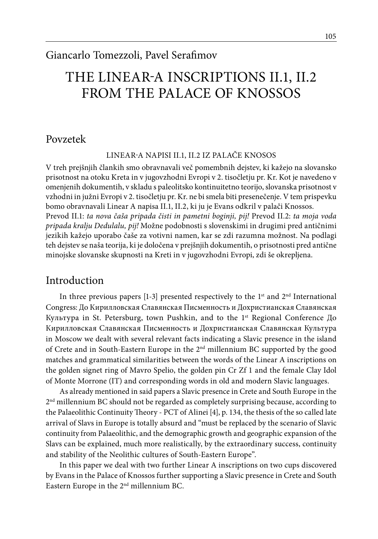# THE LINEAR-A INSCRIPTIONS II.1, II.2 FROM THE PALACE OF KNOSSOS

### Povzetek

LINEAR-A NAPISI II.1, II.2 IZ PALAČE KNOSOS

V treh prejšnjih člankih smo obravnavali več pomembnih dejstev, ki kažejo na slovansko prisotnost na otoku Kreta in v jugovzhodni Evropi v 2. tisočletju pr. Kr. Kot je navedeno v omenjenih dokumentih, v skladu s paleolitsko kontinuitetno teorijo, slovanska prisotnost v vzhodni in južni Evropi v 2. tisočletju pr. Kr. ne bi smela biti presenečenje. V tem prispevku bomo obravnavali Linear A napisa II.1, II.2, ki ju je Evans odkril v palači Knossos. Prevod II.1: *ta nova čaša pripada čisti in pametni boginji, pij!* Prevod II.2: *ta moja voda pripada kralju Dedulalu, pij!* Možne podobnosti s slovenskimi in drugimi pred antičnimi jezikih kažejo uporabo čaše za votivni namen, kar se zdi razumna možnost. Na podlagi teh dejstev se naša teorija, ki je določena v prejšnjih dokumentih, o prisotnosti pred antične minojske slovanske skupnosti na Kreti in v jugovzhodni Evropi, zdi še okrepljena.

## Introduction

In three previous papers  $[1-3]$  presented respectively to the  $1<sup>st</sup>$  and  $2<sup>nd</sup>$  International Congress: До Кирилловская Славянская Писменность и Дохристианская Славянская Культура in St. Petersburg, town Pushkin, and to the 1st Regional Conference До Кирилловская Славянская Писменность и Дохристианская Славянская Культура in Moscow we dealt with several relevant facts indicating a Slavic presence in the island of Crete and in South-Eastern Europe in the  $2<sup>nd</sup>$  millennium BC supported by the good matches and grammatical similarities between the words of the Linear A inscriptions on the golden signet ring of Mavro Spelio, the golden pin Cr Zf 1 and the female Clay Idol of Monte Morrone (IT) and corresponding words in old and modern Slavic languages.

As already mentioned in said papers a Slavic presence in Crete and South Europe in the  $2<sup>nd</sup>$  millennium BC should not be regarded as completely surprising because, according to the Palaeolithic Continuity Theory - PCT of Alinei [4], p. 134, the thesis of the so called late arrival of Slavs in Europe is totally absurd and "must be replaced by the scenario of Slavic continuity from Palaeolithic, and the demographic growth and geographic expansion of the Slavs can be explained, much more realistically, by the extraordinary success, continuity and stability of the Neolithic cultures of South-Eastern Europe".

In this paper we deal with two further Linear A inscriptions on two cups discovered by Evans in the Palace of Knossos further supporting a Slavic presence in Crete and South Eastern Europe in the 2nd millennium BC.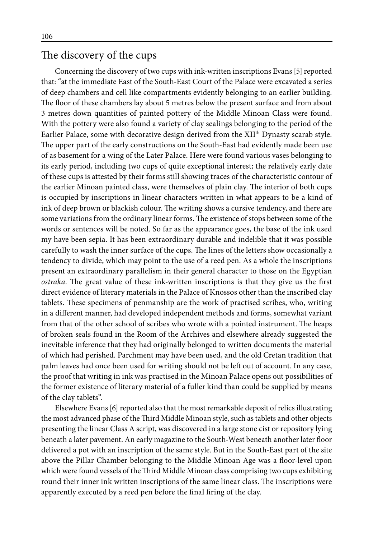# The discovery of the cups

Concerning the discovery of two cups with ink-written inscriptions Evans [5] reported that: "at the immediate East of the South-East Court of the Palace were excavated a series of deep chambers and cell like compartments evidently belonging to an earlier building. The floor of these chambers lay about 5 metres below the present surface and from about 3 metres down quantities of painted pottery of the Middle Minoan Class were found. With the pottery were also found a variety of clay sealings belonging to the period of the Earlier Palace, some with decorative design derived from the XIIth Dynasty scarab style. The upper part of the early constructions on the South-East had evidently made been use of as basement for a wing of the Later Palace. Here were found various vases belonging to its early period, including two cups of quite exceptional interest; the relatively early date of these cups is attested by their forms still showing traces of the characteristic contour of the earlier Minoan painted class, were themselves of plain clay. The interior of both cups is occupied by inscriptions in linear characters written in what appears to be a kind of ink of deep brown or blackish colour. The writing shows a cursive tendency, and there are some variations from the ordinary linear forms. The existence of stops between some of the words or sentences will be noted. So far as the appearance goes, the base of the ink used my have been sepia. It has been extraordinary durable and indelible that it was possible carefully to wash the inner surface of the cups. The lines of the letters show occasionally a tendency to divide, which may point to the use of a reed pen. As a whole the inscriptions present an extraordinary parallelism in their general character to those on the Egyptian *ostraka*. The great value of these ink-written inscriptions is that they give us the first direct evidence of literary materials in the Palace of Knossos other than the inscribed clay tablets. These specimens of penmanship are the work of practised scribes, who, writing in a different manner, had developed independent methods and forms, somewhat variant from that of the other school of scribes who wrote with a pointed instrument. The heaps of broken seals found in the Room of the Archives and elsewhere already suggested the inevitable inference that they had originally belonged to written documents the material of which had perished. Parchment may have been used, and the old Cretan tradition that palm leaves had once been used for writing should not be left out of account. In any case, the proof that writing in ink was practised in the Minoan Palace opens out possibilities of the former existence of literary material of a fuller kind than could be supplied by means of the clay tablets".

Elsewhere Evans [6] reported also that the most remarkable deposit of relics illustrating the most advanced phase of the Third Middle Minoan style, such as tablets and other objects presenting the linear Class A script, was discovered in a large stone cist or repository lying beneath a later pavement. An early magazine to the South-West beneath another later floor delivered a pot with an inscription of the same style. But in the South-East part of the site above the Pillar Chamber belonging to the Middle Minoan Age was a floor-level upon which were found vessels of the Third Middle Minoan class comprising two cups exhibiting round their inner ink written inscriptions of the same linear class. The inscriptions were apparently executed by a reed pen before the final firing of the clay.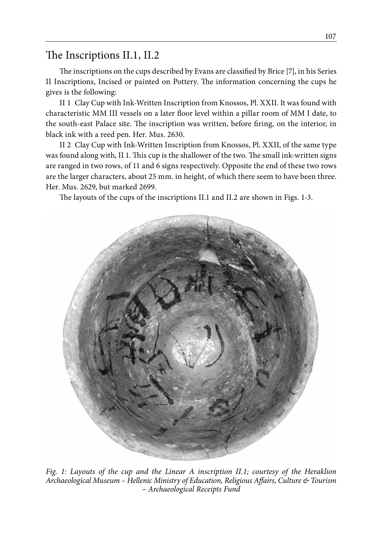# The Inscriptions II.1, II.2

The inscriptions on the cups described by Evans are classified by Brice [7], in his Series II Inscriptions, Incised or painted on Pottery. The information concerning the cups he gives is the following:

II 1 Clay Cup with Ink-Written Inscription from Knossos, Pl. XXII. It was found with characteristic MM III vessels on a later floor level within a pillar room of MM I date, to the south-east Palace site. The inscription was written, before firing, on the interior, in black ink with a reed pen. Her. Mus. 2630.

II 2 Clay Cup with Ink-Written Inscription from Knossos, Pl. XXII, of the same type was found along with, II 1. This cup is the shallower of the two. The small ink-written signs are ranged in two rows, of 11 and 6 signs respectively. Opposite the end of these two rows are the larger characters, about 25 mm. in height, of which there seem to have been three. Her. Mus. 2629, but marked 2699.

The layouts of the cups of the inscriptions II.1 and II.2 are shown in Figs. 1-3.



*Fig. 1: Layouts of the cup and the Linear A inscription II.1; courtesy of the Heraklion Archaeological Museum – Hellenic Ministry of Education, Religious Affairs, Culture & Tourism – Archaeological Receipts Fund*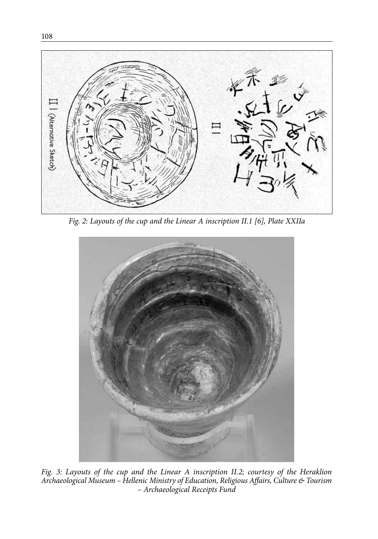

*Fig. 2: Layouts of the cup and the Linear A inscription II.1 [6], Plate XXIIa*



*Fig. 3: Layouts of the cup and the Linear A inscription II.2; courtesy of the Heraklion Archaeological Museum – Hellenic Ministry of Education, Religious Affairs, Culture & Tourism – Archaeological Receipts Fund*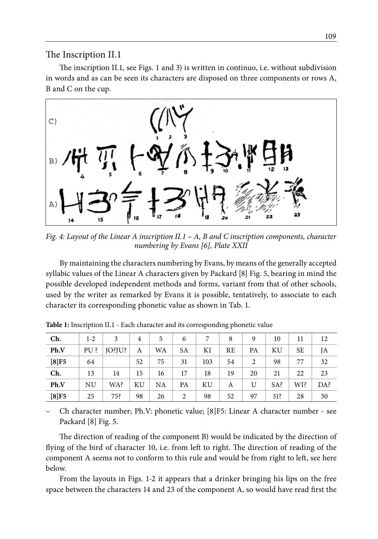The Inscription II.1

The inscription II.1, see Figs. 1 and 3) is written in continuo, i.e. without subdivision in words and as can be seen its characters are disposed on three components or rows A, B and C on the cup.



*Fig. 4: Layout of the Linear A inscription II.1 – A, B and C inscription components, character numbering by Evans [6], Plate XXII*

By maintaining the characters numbering by Evans, by means of the generally accepted syllabic values of the Linear A characters given by Packard [8] Fig. 5, bearing in mind the possible developed independent methods and forms, variant from that of other schools, used by the writer as remarked by Evans it is possible, tentatively, to associate to each character its corresponding phonetic value as shown in Tab. 1.

| Ch.     | $1-2$     | 3             | $\overline{4}$ | 5         | 6              |     | 8  | 9  | 10  | 11        | 12  |
|---------|-----------|---------------|----------------|-----------|----------------|-----|----|----|-----|-----------|-----|
| Ph.V    | $PU$ ?    | <b>JO?JU?</b> | A              | <b>WA</b> | <b>SA</b>      | ΚI  | RE | PA | ΚU  | <b>SE</b> | JA  |
| $[8]F5$ | 64        |               | 52             | 75        | 31             | 103 | 54 | 2  | 98  | 77        | 32  |
| Ch.     | 13        | 14            | 15             | 16        | 17             | 18  | 19 | 20 | 21  | 22        | 23  |
| Ph.V    | <b>NU</b> | WA?           | KU             | NA        | PA             | KU  | А  | U  | SA? | WI?       | DA? |
| $[8]F5$ | 25        | 75?           | 98             | 26        | $\overline{2}$ | 98  | 52 | 97 | 31? | 28        | 30  |

**Table 1:** Inscription II.1 - Each character and its corresponding phonetic value

– Ch character number; Ph.V: phonetic value; [8]F5: Linear A character number - see Packard [8] Fig. 5.

The direction of reading of the component B) would be indicated by the direction of flying of the bird of character 10, i.e. from left to right. The direction of reading of the component A seems not to conform to this rule and would be from right to left, see here below.

From the layouts in Figs. 1-2 it appears that a drinker bringing his lips on the free space between the characters 14 and 23 of the component A, so would have read first the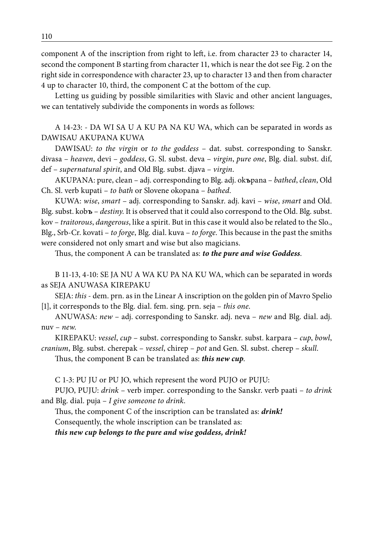component A of the inscription from right to left, i.e. from character 23 to character 14, second the component B starting from character 11, which is near the dot see Fig. 2 on the right side in correspondence with character 23, up to character 13 and then from character 4 up to character 10, third, the component C at the bottom of the cup.

Letting us guiding by possible similarities with Slavic and other ancient languages, we can tentatively subdivide the components in words as follows:

A 14-23: - DA WI SA U A KU PA NA KU WA, which can be separated in words as DAWISAU AKUPANA KUWA

DAWISAU: *to the virgin* or *to the goddess* – dat. subst. corresponding to Sanskr. divasa – *heaven*, devi – *goddess*, G. Sl. subst. deva – *virgin*, *pure one*, Blg. dial. subst. dif, def – *supernatural spirit*, and Old Blg. subst. djava – *virgin*.

AKUPANA: pure, clean – adj. corresponding to Blg. adj. ok**ъ**pana – *bathed*, *clean*, Old Ch. Sl. verb kupati – *to bath* or Slovene okopana – *bathed*.

KUWA: *wise*, *smart* – adj. corresponding to Sanskr. adj. kavi – *wise*, *smart* and Old. Blg. subst. kob**ъ** – *destiny*. It is observed that it could also correspond to the Old. Blg. subst. kov – *traitorous*, *dangerous*, like a spirit. But in this case it would also be related to the Slo., Blg., Srb-Cr. kovati – *to forge*, Blg. dial. kuva – *to forge*. This because in the past the smiths were considered not only smart and wise but also magicians.

Thus, the component A can be translated as: *to the pure and wise Goddess*.

B 11-13, 4-10: SE JA NU A WA KU PA NA KU WA, which can be separated in words as SEJA ANUWASA KIREPAKU

SEJA: *this* - dem. prn. as in the Linear A inscription on the golden pin of Mavro Spelio [1], it corresponds to the Blg. dial. fem. sing. prn. seja – *this one*.

ANUWASA: *new* – adj. corresponding to Sanskr. adj. neva – *new* and Blg. dial. adj. nuv – *new*.

KIREPAKU: *vessel*, *cup* – subst. corresponding to Sanskr. subst. karpara – *cup*, *bowl*, *cranium*, Blg. subst. cherepak – *vessel*, chirep – *pot* and Gen. Sl. subst. cherep – *skull*.

Thus, the component B can be translated as: *this new cup*.

C 1-3: PU JU or PU JO, which represent the word PUJO or PUJU:

PUJO, PUJU: *drink* – verb imper. corresponding to the Sanskr. verb paati – *to drink* and Blg. dial. puja – *I give someone to drink*.

Thus, the component C of the inscription can be translated as: *drink!* Consequently, the whole inscription can be translated as: *this new cup belongs to the pure and wise goddess, drink!*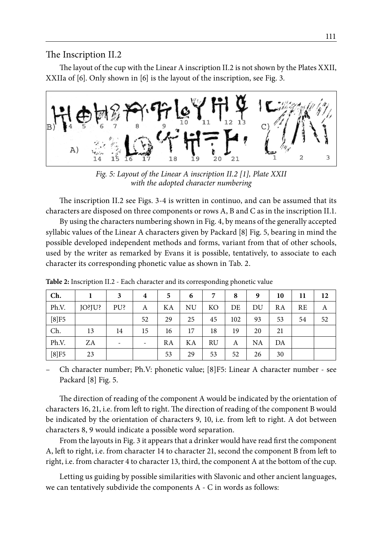The Inscription II.2

The layout of the cup with the Linear A inscription II.2 is not shown by the Plates XXII, XXIIa of [6]. Only shown in [6] is the layout of the inscription, see Fig. 3.



*Fig. 5: Layout of the Linear A inscription II.2 [1], Plate XXII with the adopted character numbering*

The inscription II.2 see Figs. 3-4 is written in continuo, and can be assumed that its characters are disposed on three components or rows A, B and C as in the inscription II.1.

By using the characters numbering shown in Fig. 4, by means of the generally accepted syllabic values of the Linear A characters given by Packard [8] Fig. 5, bearing in mind the possible developed independent methods and forms, variant from that of other schools, used by the writer as remarked by Evans it is possible, tentatively, to associate to each character its corresponding phonetic value as shown in Tab. 2.

| Ch.     |        | 3   | $\overline{4}$           | 5  | 6  |           | 8   | 9  | 10 | 11 | 12 |
|---------|--------|-----|--------------------------|----|----|-----------|-----|----|----|----|----|
| Ph.V.   | JO?JU? | PU? | А                        | KА | NU | KО        | DE  | DU | RA | RE | А  |
| $[8]F5$ |        |     | 52                       | 29 | 25 | 45        | 102 | 93 | 53 | 54 | 52 |
| Ch.     | 13     | 14  | 15                       | 16 | 17 | 18        | 19  | 20 | 21 |    |    |
| Ph.V.   | ZΑ     | -   | $\overline{\phantom{a}}$ | RA | KA | <b>RU</b> | А   | NA | DA |    |    |
| $[8]F5$ | 23     |     |                          | 53 | 29 | 53        | 52  | 26 | 30 |    |    |

**Table 2:** Inscription II.2 - Each character and its corresponding phonetic value

– Ch character number; Ph.V: phonetic value; [8]F5: Linear A character number - see Packard [8] Fig. 5.

The direction of reading of the component A would be indicated by the orientation of characters 16, 21, i.e. from left to right. The direction of reading of the component B would be indicated by the orientation of characters 9, 10, i.e. from left to right. A dot between characters 8, 9 would indicate a possible word separation.

From the layouts in Fig. 3 it appears that a drinker would have read first the component A, left to right, i.e. from character 14 to character 21, second the component B from left to right, i.e. from character 4 to character 13, third, the component A at the bottom of the cup.

Letting us guiding by possible similarities with Slavonic and other ancient languages, we can tentatively subdivide the components A - C in words as follows: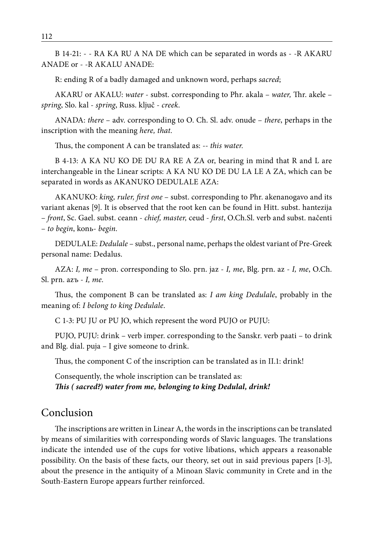B 14-21: - - RA KA RU A NA DE which can be separated in words as - -R AKARU ANADE or - -R AKALU ANADE:

R: ending R of a badly damaged and unknown word, perhaps *sacred*;

AKARU or AKALU: *water* - subst. corresponding to Phr. akala – *water,* Thr. akele – *spring*, Slo. kal - *spring*, Russ. ključ - *creek*.

ANADA: *there* – adv. corresponding to O. Ch. Sl. adv. onude – *there*, perhaps in the inscription with the meaning *here, that*.

Thus, the component A can be translated as: *-- this water.*

B 4-13: A KA NU KO DE DU RA RE A ZA or, bearing in mind that R and L are interchangeable in the Linear scripts: A KA NU KO DE DU LA LE A ZA, which can be separated in words as AKANUKO DEDULALE AZA:

AKANUKO: *king, ruler, first one* – subst. corresponding to Phr. akenanogavo and its variant akenas [9]. It is observed that the root ken can be found in Hitt. subst. hantezija – *front*, Sc. Gael. subst. ceann - *chief, master,* ceud - *first*, O.Ch.Sl. verb and subst. načenti – *to begin*, konь- *begin*.

DEDULALE: *Dedulale* – subst., personal name, perhaps the oldest variant of Pre-Greek personal name: Dedalus.

AZA: *I, me* – pron. corresponding to Slo. prn. jaz - *I, me*, Blg. prn. az - *I, me*, O.Ch. Sl. prn. azъ - *I, me*.

Thus, the component B can be translated as: *I am king Dedulale*, probably in the meaning of: *I belong to king Dedulale*.

C 1-3: PU JU or PU JO, which represent the word PUJO or PUJU:

PUJO, PUJU: drink – verb imper. corresponding to the Sanskr. verb paati – to drink and Blg. dial. puja – I give someone to drink.

Thus, the component C of the inscription can be translated as in II.1: drink!

Consequently, the whole inscription can be translated as: *This ( sacred?) water from me, belonging to king Dedulal, drink!*

#### Conclusion

The inscriptions are written in Linear A, the words in the inscriptions can be translated by means of similarities with corresponding words of Slavic languages. The translations indicate the intended use of the cups for votive libations, which appears a reasonable possibility. On the basis of these facts, our theory, set out in said previous papers [1-3], about the presence in the antiquity of a Minoan Slavic community in Crete and in the South-Eastern Europe appears further reinforced.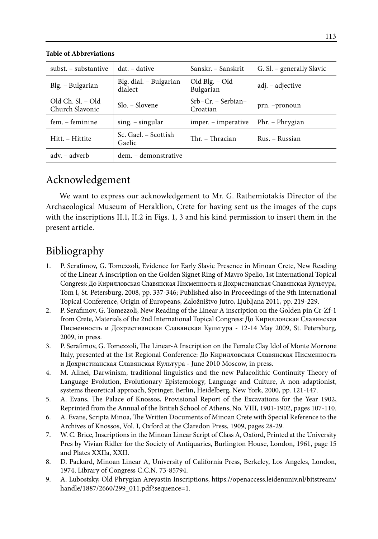| subst. – substantive                 | dat. – dative                     | Sanskr. – Sanskrit               | G. Sl. – generally Slavic |
|--------------------------------------|-----------------------------------|----------------------------------|---------------------------|
| Blg. – Bulgarian                     | Blg. dial. – Bulgarian<br>dialect | Old Blg. - Old<br>Bulgarian      | adj. – adjective          |
| Old Ch. Sl. – Old<br>Church Slavonic | $Slo. - Slovene$                  | $Srb-Cr.$ – Serbian–<br>Croatian | prn. -pronoun             |
| fem. – feminine                      | $sing. - singular$                | imper. – imperative              | Phr. – Phrygian           |
| Hitt. - Hittite                      | Sc. Gael. - Scottish<br>Gaelic    | Thr. – Thracian                  | Rus. – Russian            |
| adv. – adverb                        | dem. - demonstrative              |                                  |                           |

**Table of Abbreviations**

## Acknowledgement

We want to express our acknowledgement to Mr. G. Rathemiotakis Director of the Archaeological Museum of Heraklion, Crete for having sent us the images of the cups with the inscriptions II.1, II.2 in Figs. 1, 3 and his kind permission to insert them in the present article.

# Bibliography

- 1. P. Serafimov, G. Tomezzoli, Evidence for Early Slavic Presence in Minoan Crete, New Reading of the Linear A inscription on the Golden Signet Ring of Mavro Spelio, 1st International Topical Congress: До Кирилловская Славянская Писменность и Дохристианская Славянская Культура, Tom I, St. Petersburg, 2008, pp. 337-346; Published also in Proceedings of the 9th International Topical Conference, Origin of Europeans, Založništvo Jutro, Ljubljana 2011, pp. 219-229.
- 2. P. Serafimov, G. Tomezzoli, New Reading of the Linear A inscription on the Golden pin Cr-Zf-1 from Crete, Materials of the 2nd International Topical Congress: До Кирилловская Славянская Писменность и Дохристианская Славянская Культура - 12-14 May 2009, St. Petersburg, 2009, in press.
- 3. P. Serafimov, G. Tomezzoli, The Linear-A Inscription on the Female Clay Idol of Monte Morrone Italy, presented at the 1st Regional Conference: До Кирилловская Славянская Писменность и Дохристианская Славянская Культура - June 2010 Moscow, in press.
- 4. M. Alinei, Darwinism, traditional linguistics and the new Palaeolithic Continuity Theory of Language Evolution, Evolutionary Epistemology, Language and Culture, A non-adaptionist, systems theoretical approach, Springer, Berlin, Heidelberg, New York, 2000, pp. 121-147.
- 5. A. Evans, The Palace of Knossos, Provisional Report of the Excavations for the Year 1902, Reprinted from the Annual of the British School of Athens, No. VIII, 1901-1902, pages 107-110.
- 6. A. Evans, Scripta Minoa, The Written Documents of Minoan Crete with Special Reference to the Archives of Knossos, Vol. I, Oxford at the Claredon Press, 1909, pages 28-29.
- 7. W. C. Brice, Inscriptions in the Minoan Linear Script of Class A, Oxford, Printed at the University Pres by Vivian Ridler for the Society of Antiquaries, Burlington House, London, 1961, page 15 and Plates XXIIa, XXII.
- 8. D. Packard, Minoan Linear A, University of California Press, Berkeley, Los Angeles, London, 1974, Library of Congress C.C.N. 73-85794.
- 9. A. Lubostsky, Old Phrygian Areyastin Inscriptions, https://openaccess.leidenuniv.nl/bitstream/ handle/1887/2660/299\_011.pdf?sequence=1.